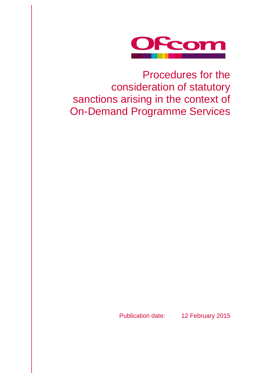

# Procedures for the consideration of statutory sanctions arising in the context of On-Demand Programme Services

Publication date: 12 February 2015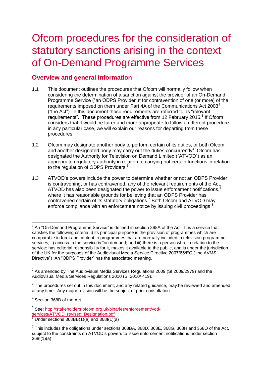# Ofcom procedures for the consideration of statutory sanctions arising in the context of On-Demand Programme Services

# **Overview and general information**

- 1.1 This document outlines the procedures that Ofcom will normally follow when considering the determination of a sanction against the provider of an On-Demand Programme Service ("an ODPS Provider")<sup>1</sup> for contravention of one (or more) of the requirements imposed on them under Part 4A of the Communications Act  $2003^2$ ("the Act"). In this document these requirements are referred to as "relevant requirements". These procedures are effective from 12 February 2015.<sup>3</sup> If Ofcom considers that it would be fairer and more appropriate to follow a different procedure in any particular case, we will explain our reasons for departing from these procedures.
- 1.2 Ofcom may designate another body to perform certain of its duties, or both Ofcom and another designated body may carry out the duties concurrently<sup>4</sup>. Ofcom has designated the Authority for Television on Demand Limited ("ATVOD") as an appropriate regulatory authority in relation to carrying out certain functions in relation to the regulation of ODPS Providers.<sup>5</sup>
- 1.3 ATVOD's powers include the power to determine whether or not an ODPS Provider is contravening, or has contravened, any of the relevant requirements of the Act. ATVOD has also been designated the power to issue enforcement notifications,<sup>6</sup> where it has reasonable grounds for believing that an ODPS Provider has contravened certain of its statutory obligations.<sup>7</sup> Both Ofcom and ATVOD may enforce compliance with an enforcement notice by issuing civil proceedings.<sup>8</sup>

<sup>-</sup>1 An "On-Demand Programme Service" is defined in section 368A of the Act. It is a service that satisfies the following criteria: i) its principal purpose is the provision of programmes which are comparable in form and content to programmes that are normally included in television programme services; ii) access to the service is "on demand; and iii) there is a person who, in relation to the service: has editorial responsibility for it, makes it available to the public, and is under the jurisdiction of the UK for the purposes of the Audiovisual Media Service Directive 2007/65/EC ("the AVMS Directive") An "ODPS Provider" has the associated meaning.

 $2$  As amended by The Audiovisual Media Services Regulations 2009 (SI 2009/2979) and the Audiovisual Media Services Regulations 2010 (SI 2010/ 419).

 $3$  The procedures set out in this document, and any related guidance, may be reviewed and amended at any time. Any major revision will be the subject of prior consultation.

<sup>4</sup> Section 368B of the Act

<sup>&</sup>lt;sup>5</sup> See: [http://stakeholders.ofcom.org.uk/binaries/enforcement/vod](http://stakeholders.ofcom.org.uk/binaries/enforcement/vod-services/ATVOD_revised_Designation.pdf)[services/ATVOD\\_revised\\_Designation.pdf](http://stakeholders.ofcom.org.uk/binaries/enforcement/vod-services/ATVOD_revised_Designation.pdf)

 $\frac{6}{6}$  Under sections 368BB(1)(a) and 368I(1)(a)

 $^7$  This includes the obligations under sections 368BA, 368D, 368E, 368G, 368H and 368O of the Act, subject to the constraints on ATVOD's powers to issue enforcement notifications under section 368I(1)(a).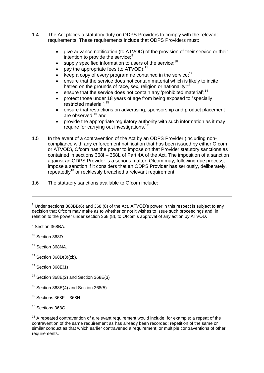- 1.4 The Act places a statutory duty on ODPS Providers to comply with the relevant requirements. These requirements include that ODPS Providers must:
	- give advance notification (to ATVOD) of the provision of their service or their intention to provide the service;<sup>9</sup>
	- $\bullet$  supply specified information to users of the service;<sup>10</sup>
	- pay the appropriate fees (to ATVOD);<sup>11</sup>
	- keep a copy of every programme contained in the service;<sup>12</sup>
	- ensure that the service does not contain material which is likely to incite hatred on the grounds of race, sex, religion or nationality;<sup>13</sup>
	- $\bullet$  ensure that the service does not contain any 'prohibited material';<sup>14</sup>
	- protect those under 18 years of age from being exposed to "specially restricted material";<sup>15</sup>
	- ensure that restrictions on advertising, sponsorship and product placement are observed;<sup>16</sup> and
	- provide the appropriate regulatory authority with such information as it may require for carrying out investigations.<sup>17</sup>
- 1.5 In the event of a contravention of the Act by an ODPS Provider (including noncompliance with any enforcement notification that has been issued by either Ofcom or ATVOD), Ofcom has the power to impose on that Provider statutory sanctions as contained in sections 368I – 368L of Part 4A of the Act. The imposition of a sanction against an ODPS Provider is a serious matter. Ofcom may, following due process, impose a sanction if it considers that an ODPS Provider has seriously, deliberately, repeatedly<sup>18</sup> or recklessly breached a relevant requirement.
- 1.6 The statutory sanctions available to Ofcom include:

<sup>9</sup> Section 368BA.

-

<sup>10</sup> Section 368D.

<sup>11</sup> Section 368NA.

- $13$  Section 368E(1)
- <sup>14</sup> Section 368E(2) and Section 368E(3)
- $15$  Section 368E(4) and Section 368(5).
- $16$  Sections 368F 368H.

 $18$  A repeated contravention of a relevant requirement would include, for example: a repeat of the contravention of the same requirement as has already been recorded; repetition of the same or similar conduct as that which earlier contravened a requirement; or multiple contraventions of other requirements.

 $8$  Under sections 368BB(6) and 368I(8) of the Act. ATVOD's power in this respect is subject to any decision that Ofcom may make as to whether or not it wishes to issue such proceedings and, in relation to the power under section 368I(8), to Ofcom's approval of any action by ATVOD.

 $12$  Section 368D(3)(zb).

<sup>&</sup>lt;sup>17</sup> Sections 368O.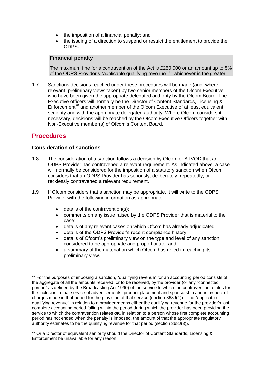- the imposition of a financial penalty; and
- the issuing of a direction to suspend or restrict the entitlement to provide the ODPS.

#### **Financial penalty**

The maximum fine for a contravention of the Act is £250,000 or an amount up to 5% of the ODPS Provider's "applicable qualifying revenue",<sup>19</sup> whichever is the greater.

1.7 Sanctions decisions reached under these procedures will be made (and, where relevant, preliminary views taken) by two senior members of the Ofcom Executive who have been given the appropriate delegated authority by the Ofcom Board. The Executive officers will normally be the Director of Content Standards, Licensing & Enforcement<sup>20</sup> and another member of the Ofcom Executive of at least equivalent seniority and with the appropriate delegated authority. Where Ofcom considers it necessary, decisions will be reached by the Ofcom Executive Officers together with Non-Executive member(s) of Ofcom's Content Board.

# **Procedures**

### **Consideration of sanctions**

- 1.8 The consideration of a sanction follows a decision by Ofcom or ATVOD that an ODPS Provider has contravened a relevant requirement. As indicated above, a case will normally be considered for the imposition of a statutory sanction when Ofcom considers that an ODPS Provider has seriously, deliberately, repeatedly, or recklessly contravened a relevant requirement.
- 1.9 If Ofcom considers that a sanction may be appropriate, it will write to the ODPS Provider with the following information as appropriate:
	- details of the contravention(s);
	- comments on any issue raised by the ODPS Provider that is material to the case;
	- details of any relevant cases on which Ofcom has already adjudicated;
	- details of the ODPS Provider's recent compliance history;
	- details of Ofcom's preliminary view on the type and level of any sanction considered to be appropriate and proportionate; and
	- a summary of the material on which Ofcom has relied in reaching its preliminary view.

<sup>-</sup> $19$  For the purposes of imposing a sanction, "qualifying revenue" for an accounting period consists of the aggregate of all the amounts received, or to be received, by the provider (or any "connected person" as defined by the Broadcasting Act 1990) of the service to which the contravention relates for the inclusion in that service of advertisements, product placement and sponsorship and in respect of charges made in that period for the provision of that service (section 368J(4)). The "applicable qualifying revenue" in relation to a provider means either the qualifying revenue for the provider's last complete accounting period falling within the period during which the provider has been providing the service to which the contravention relates **OR**, in relation to a person whose first complete accounting period has not ended when the penalty is imposed, the amount of that the appropriate regulatory authority estimates to be the qualifying revenue for that period (section 368J(3)).

 $20$  Or a Director of equivalent seniority should the Director of Content Standards, Licensing & Enforcement be unavailable for any reason.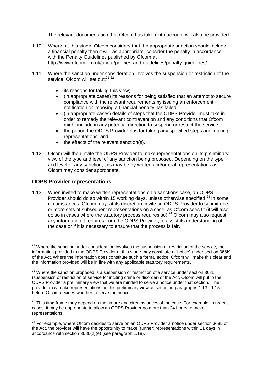The relevant documentation that Ofcom has taken into account will also be provided.

- 1.10 Where, at this stage, Ofcom considers that the appropriate sanction should include a financial penalty then it will, as appropriate, consider the penalty in accordance with the Penalty Guidelines published by Ofcom at http://www.ofcom.org.uk/about/policies-and-guidelines/penalty-guidelines/.
- 1.11 Where the sanction under consideration involves the suspension or restriction of the service, Ofcom will set out:<sup>21 22</sup>
	- its reasons for taking this view;
	- (in appropriate cases) its reasons for being satisfied that an attempt to secure compliance with the relevant requirements by issuing an enforcement notification or imposing a financial penalty has failed;
	- (in appropriate cases) details of steps that the ODPS Provider must take in order to remedy the relevant contravention and any conditions that Ofcom might include in any potential direction to suspend or restrict the service;
	- the period the ODPS Provider has for taking any specified steps and making representations; and
	- the effects of the relevant sanction(s).
- 1.12 Ofcom will then invite the ODPS Provider to make representations on its preliminary view of the type and level of any sanction being proposed. Depending on the type and level of any sanction, this may be by written and/or oral representations as Ofcom may consider appropriate.

#### **ODPS Provider representations**

 $\overline{a}$ 

1.13 When invited to make written representations on a sanctions case, an ODPS Provider should do so within 15 working days, unless otherwise specified.<sup>23</sup> In some circumstances, Ofcom may, at its discretion, invite an ODPS Provider to submit one or more sets of subsequent representations on a case, as Ofcom sees fit (it will also do so in cases where the statutory process requires so).<sup>24</sup> Ofcom may also request any information it requires from the ODPS Provider, to assist its understanding of the case or if it is necessary to ensure that the process is fair.

<sup>&</sup>lt;sup>21</sup> Where the sanction under consideration involves the suspension or restriction of the service, the information provided to the ODPS Provider at this stage may constitute a "notice" under section 368K of the Act. Where the information does constitute such a formal notice, Ofcom will make this clear and the information provided will be in line with any applicable statutory requirements.

 $22$  Where the sanction proposed is a suspension or restriction of a service under section 368L (suspension or restriction of service for inciting crime or disorder) of the Act, Ofcom will put to the ODPS Provider a preliminary view that we are minded to serve a notice under that section. The provider may make representations on this preliminary view as set out in paragraphs 1.13 - 1.15 before Ofcom decides whether to serve the notice.

<sup>&</sup>lt;sup>23</sup> This time-frame may depend on the nature and circumstances of the case. For example, in urgent cases, it may be appropriate to allow an ODPS Provider no more than 24 hours to make representations.

<sup>&</sup>lt;sup>24</sup> For example, where Ofcom decides to serve on an ODPS Provider a notice under section 368L of the Act, the provider will have the opportunity to make (further) representations within 21 days in accordance with section 368L(2)(e) (see paragraph 1.18).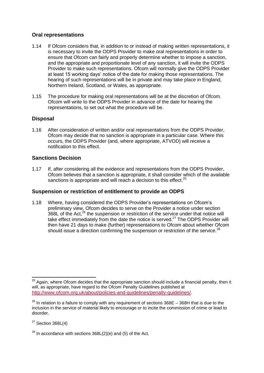## **Oral representations**

- 1.14 If Ofcom considers that, in addition to or instead of making written representations, it is necessary to invite the ODPS Provider to make oral representations in order to ensure that Ofcom can fairly and properly determine whether to impose a sanction, and the appropriate and proportionate level of any sanction, it will invite the ODPS Provider to make such representations. Ofcom will normally give the ODPS Provider at least 15 working days' notice of the date for making those representations. The hearing of such representations will be in private and may take place in England, Northern Ireland, Scotland, or Wales, as appropriate.
- 1.15 The procedure for making oral representations will be at the discretion of Ofcom. Ofcom will write to the ODPS Provider in advance of the date for hearing the representations, to set out what the procedure will be.

## **Disposal**

1.16 After consideration of written and/or oral representations from the ODPS Provider, Ofcom may decide that no sanction is appropriate in a particular case. Where this occurs, the ODPS Provider (and, where appropriate, ATVOD) will receive a notification to this effect.

### **Sanctions Decision**

1.17 If, after considering all the evidence and representations from the ODPS Provider, Ofcom believes that a sanction is appropriate, it shall consider which of the available sanctions is appropriate and will reach a decision to this effect.<sup>25</sup>

### **Suspension or restriction of entitlement to provide an ODPS**

1.18 Where, having considered the ODPS Provider's representations on Ofcom's preliminary view, Ofcom decides to serve on the Provider a notice under section  $368$ L of the Act,  $26$  the suspension or restriction of the service under that notice will take effect immediately from the date the notice is served. $27$  The ODPS Provider will then have 21 days to make (further) representations to Ofcom about whether Ofcom should issue a direction confirming the suspension or restriction of the service.<sup>28</sup>

 $27$  Section 368L(4)

 $\overline{a}$ 

 $25$  Again, where Ofcom decides that the appropriate sanction should include a financial penalty, then it will, as appropriate, have regard to the Ofcom Penalty Guidelines published at <http://www.ofcom.org.uk/about/policies-and-guidelines/penalty-guidelines/>.

 $26$  In relation to a failure to comply with any requirement of sections  $368E - 368H$  that is due to the inclusion in the service of material likely to encourage or to incite the commission of crime or lead to disorder.

 $28$  In accordance with sections 368L(2)(e) and (5) of the Act.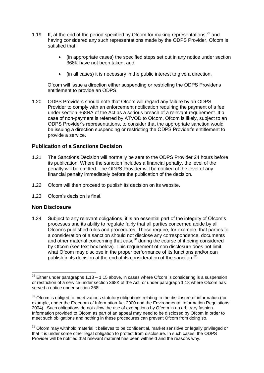- 1.19 If, at the end of the period specified by Ofcom for making representations, $^{29}$  and having considered any such representations made by the ODPS Provider, Ofcom is satisfied that:
	- (in appropriate cases) the specified steps set out in any notice under section 368K have not been taken; and
	- (in all cases) it is necessary in the public interest to give a direction,

Ofcom will issue a direction either suspending or restricting the ODPS Provider's entitlement to provide an ODPS.

1.20 ODPS Providers should note that Ofcom will regard any failure by an ODPS Provider to comply with an enforcement notification requiring the payment of a fee under section 368NA of the Act as a serious breach of a relevant requirement. If a case of non-payment is referred by ATVOD to Ofcom, Ofcom is likely, subject to an ODPS Provider's representations, to consider that the appropriate sanction would be issuing a direction suspending or restricting the ODPS Provider's entitlement to provide a service.

### **Publication of a Sanctions Decision**

- 1.21 The Sanctions Decision will normally be sent to the ODPS Provider 24 hours before its publication. Where the sanction includes a financial penalty, the level of the penalty will be omitted. The ODPS Provider will be notified of the level of any financial penalty immediately before the publication of the decision.
- 1.22 Ofcom will then proceed to publish its decision on its website.
- 1.23 Ofcom's decision is final.

#### **Non Disclosure**

1.24 Subject to any relevant obligations, it is an essential part of the integrity of Ofcom's processes and its ability to regulate fairly that all parties concerned abide by all Ofcom's published rules and procedures. These require, for example, that parties to a consideration of a sanction should not disclose any correspondence, documents and other material concerning that case<sup>30</sup> during the course of it being considered by Ofcom (see text box below). This requirement of non disclosure does not limit what Ofcom may disclose in the proper performance of its functions and/or can publish in its decision at the end of its consideration of the sanction.<sup>31</sup>

<sup>-</sup> $^{29}$  Either under paragraphs 1.13 – 1.15 above, in cases where Ofcom is considering is a suspension or restriction of a service under section 368K of the Act, or under paragraph 1.18 where Ofcom has served a notice under section 368L.

 $30$  Ofcom is obliged to meet various statutory obligations relating to the disclosure of information (for example, under the Freedom of Information Act 2000 and the Environmental Information Regulations 2004). Such obligations do not allow the use of exemptions by Ofcom in an arbitrary fashion. Information provided to Ofcom as part of an appeal may need to be disclosed by Ofcom in order to meet such obligations and nothing in these procedures can prevent Ofcom from doing so.

 $31$  Ofcom may withhold material it believes to be confidential, market sensitive or legally privileged or that it is under some other legal obligation to protect from disclosure. In such cases, the ODPS Provider will be notified that relevant material has been withheld and the reasons why.